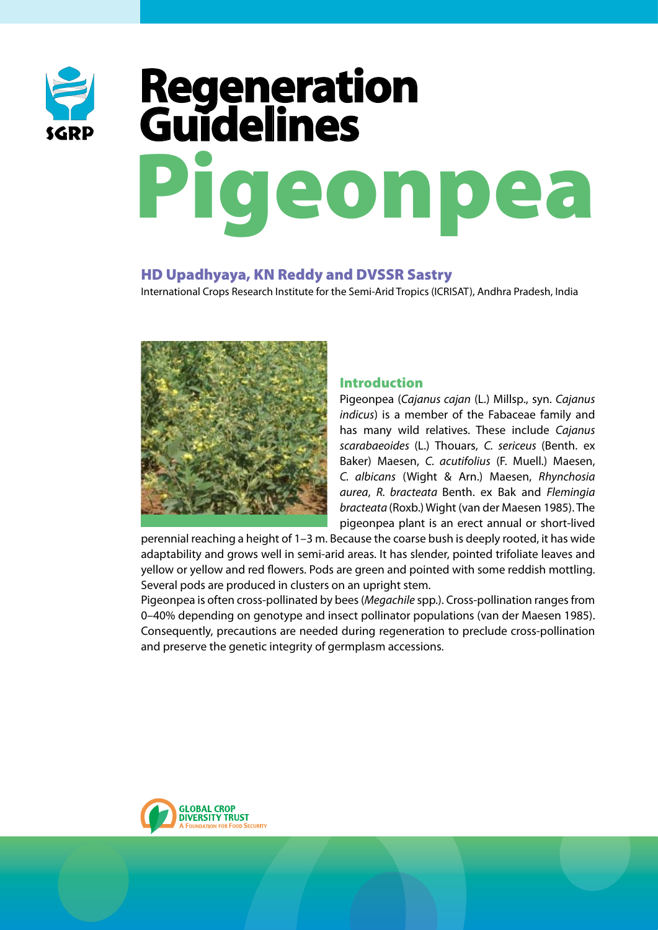

# Pigeonpea **Regeneration Guidelines**

# HD Upadhyaya, KN Reddy and DVSSR Sastry

International Crops Research Institute for the Semi-Arid Tropics (ICRISAT), Andhra Pradesh, India



# Introduction

Pigeonpea (*Cajanus cajan* (L.) Millsp., syn. *Cajanus indicus*) is a member of the Fabaceae family and has many wild relatives. These include *Cajanus scarabaeoides* (L.) Thouars, *C. sericeus* (Benth. ex Baker) Maesen, *C. acutifolius* (F. Muell.) Maesen, *C. albicans* (Wight & Arn.) Maesen, *Rhynchosia aurea*, *R. bracteata* Benth. ex Bak and *Flemingia bracteata* (Roxb.) Wight (van der Maesen 1985). The pigeonpea plant is an erect annual or short-lived

perennial reaching a height of 1–3 m. Because the coarse bush is deeply rooted, it has wide adaptability and grows well in semi-arid areas. It has slender, pointed trifoliate leaves and yellow or yellow and red flowers. Pods are green and pointed with some reddish mottling. Several pods are produced in clusters on an upright stem.

Pigeonpea is often cross-pollinated by bees (*Megachile* spp.). Cross-pollination ranges from 0–40% depending on genotype and insect pollinator populations (van der Maesen 1985). Consequently, precautions are needed during regeneration to preclude cross-pollination and preserve the genetic integrity of germplasm accessions.

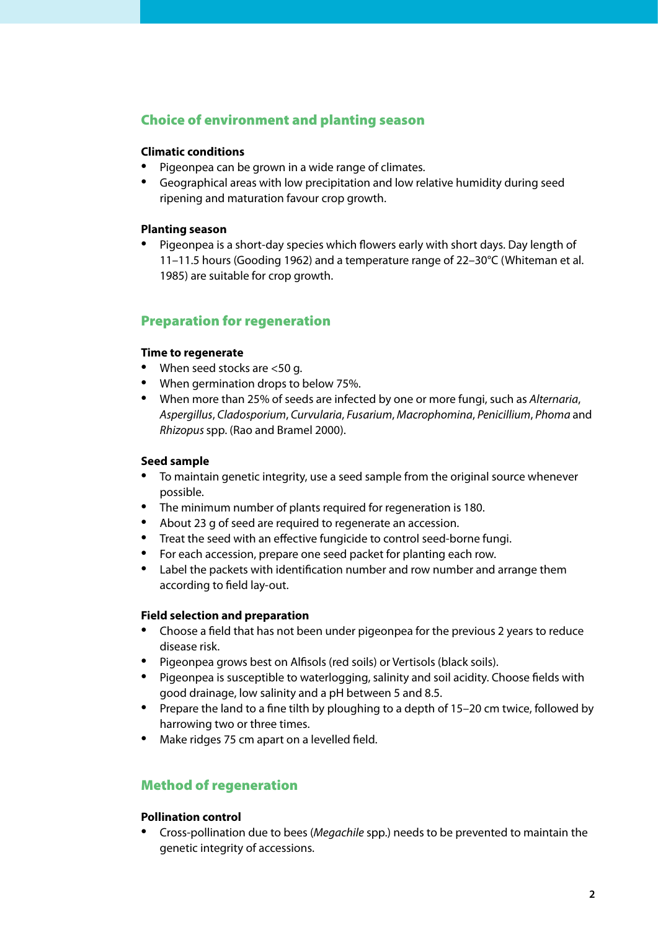# Choice of environment and planting season

#### **Climatic conditions**

- Pigeonpea can be grown in a wide range of climates. •
- Geographical areas with low precipitation and low relative humidity during seed ripening and maturation favour crop growth.

#### **Planting season**

Pigeonpea is a short-day species which flowers early with short days. Day length of 11–11.5 hours (Gooding 1962) and a temperature range of 22–30°C (Whiteman et al. 1985) are suitable for crop growth. •

# Preparation for regeneration

#### **Time to regenerate**

- When seed stocks are <50 g.
- When germination drops to below 75%.
- When more than 25% of seeds are infected by one or more fungi, such as *Alternaria*, *Aspergillus*, *Cladosporium*, *Curvularia*, *Fusarium*, *Macrophomina*, *Penicillium*, *Phoma* and *Rhizopus* spp. (Rao and Bramel 2000).

#### **Seed sample**

- To maintain genetic integrity, use a seed sample from the original source whenever possible.
- The minimum number of plants required for regeneration is 180.
- About 23 g of seed are required to regenerate an accession.
- Treat the seed with an effective fungicide to control seed-borne fungi.
- For each accession, prepare one seed packet for planting each row.
- Label the packets with identification number and row number and arrange them according to field lay-out.

#### **Field selection and preparation**

- Choose a field that has not been under pigeonpea for the previous 2 years to reduce disease risk.
- Pigeonpea grows best on Alfisols (red soils) or Vertisols (black soils).
- Pigeonpea is susceptible to waterlogging, salinity and soil acidity. Choose fields with good drainage, low salinity and a pH between 5 and 8.5.
- Prepare the land to a fine tilth by ploughing to a depth of 15–20 cm twice, followed by harrowing two or three times.
- Make ridges 75 cm apart on a levelled field.

# Method of regeneration

#### **Pollination control**

• Cross-pollination due to bees (*Megachile* spp.) needs to be prevented to maintain the genetic integrity of accessions.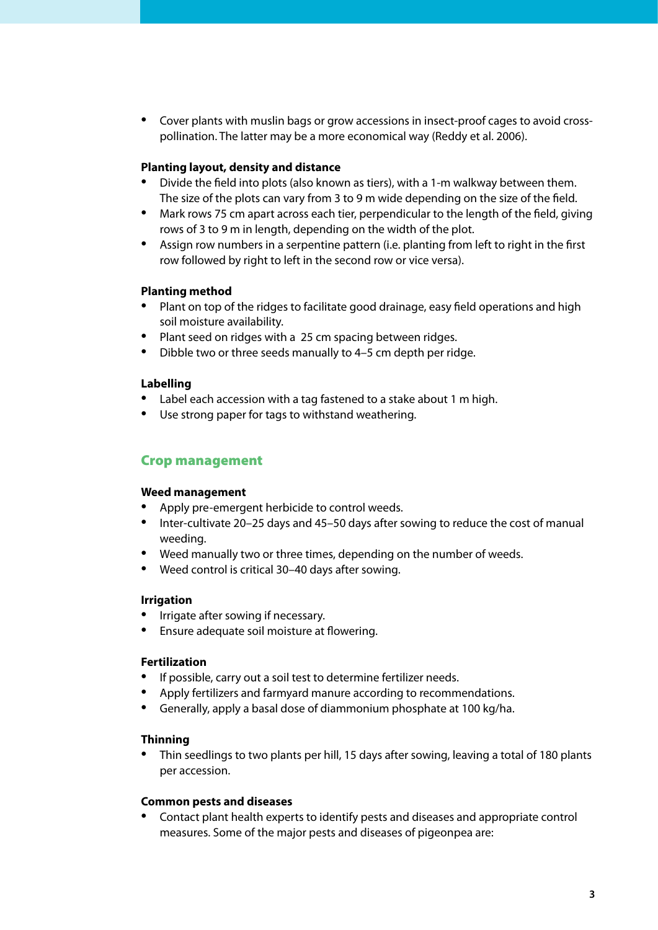Cover plants with muslin bags or grow accessions in insect-proof cages to avoid cross-• pollination. The latter may be a more economical way (Reddy et al. 2006).

#### **Planting layout, density and distance**

- Divide the field into plots (also known as tiers), with a 1-m walkway between them. The size of the plots can vary from 3 to 9 m wide depending on the size of the field. •
- Mark rows 75 cm apart across each tier, perpendicular to the length of the field, giving rows of 3 to 9 m in length, depending on the width of the plot.
- Assign row numbers in a serpentine pattern (i.e. planting from left to right in the first row followed by right to left in the second row or vice versa).

#### **Planting method**

- **Plant on top of the ridges to facilitate good drainage, easy field operations and high** soil moisture availability.
- Plant seed on ridges with a 25 cm spacing between ridges.
- Dibble two or three seeds manually to 4–5 cm depth per ridge. •

## **Labelling**

- Label each accession with a tag fastened to a stake about 1 m high.
- Use strong paper for tags to withstand weathering.

# Crop management

#### **Weed management**

- Apply pre-emergent herbicide to control weeds. •
- Inter-cultivate 20–25 days and 45–50 days after sowing to reduce the cost of manual weeding.
- Weed manually two or three times, depending on the number of weeds.
- Weed control is critical 30–40 days after sowing.

#### **Irrigation**

- Irrigate after sowing if necessary.
- Ensure adequate soil moisture at flowering.

#### **Fertilization**

- If possible, carry out a soil test to determine fertilizer needs.
- Apply fertilizers and farmyard manure according to recommendations.
- Generally, apply a basal dose of diammonium phosphate at 100 kg/ha.

#### **Thinning**

• Thin seedlings to two plants per hill, 15 days after sowing, leaving a total of 180 plants per accession.

#### **Common pests and diseases**

Contact plant health experts to identify pests and diseases and appropriate control measures. Some of the major pests and diseases of pigeonpea are: •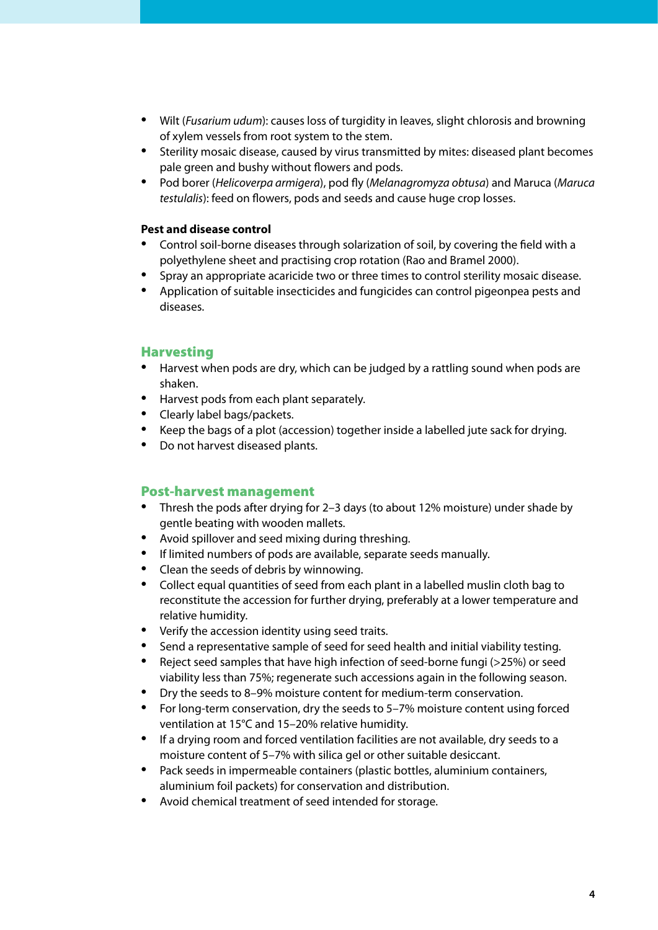- Wilt (*Fusarium udum*): causes loss of turgidity in leaves, slight chlorosis and browning of xylem vessels from root system to the stem.
- Sterility mosaic disease, caused by virus transmitted by mites: diseased plant becomes pale green and bushy without flowers and pods.
- Pod borer (*Helicoverpa armigera*), pod fly (*Melanagromyza obtusa*) and Maruca (*Maruca testulalis*): feed on flowers, pods and seeds and cause huge crop losses. •

#### **Pest and disease control**

- Control soil-borne diseases through solarization of soil, by covering the field with a polyethylene sheet and practising crop rotation (Rao and Bramel 2000). •
- Spray an appropriate acaricide two or three times to control sterility mosaic disease. •
- Application of suitable insecticides and fungicides can control pigeonpea pests and diseases.

#### Harvesting

- Harvest when pods are dry, which can be judged by a rattling sound when pods are shaken.
- Harvest pods from each plant separately.
- Clearly label bags/packets.
- Keep the bags of a plot (accession) together inside a labelled jute sack for drying.
- Do not harvest diseased plants.

#### Post-harvest management

- Thresh the pods after drying for 2–3 days (to about 12% moisture) under shade by gentle beating with wooden mallets.
- Avoid spillover and seed mixing during threshing.
- If limited numbers of pods are available, separate seeds manually.
- Clean the seeds of debris by winnowing.
- Collect equal quantities of seed from each plant in a labelled muslin cloth bag to reconstitute the accession for further drying, preferably at a lower temperature and relative humidity.
- Verify the accession identity using seed traits.
- Send a representative sample of seed for seed health and initial viability testing.
- Reject seed samples that have high infection of seed-borne fungi (>25%) or seed viability less than 75%; regenerate such accessions again in the following season. •
- Provide the seeds to 8–9% moisture content for medium-term conservation.
- For long-term conservation, dry the seeds to 5–7% moisture content using forced ventilation at 15°C and 15–20% relative humidity.
- If a drying room and forced ventilation facilities are not available, dry seeds to a moisture content of 5–7% with silica gel or other suitable desiccant.
- Pack seeds in impermeable containers (plastic bottles, aluminium containers, aluminium foil packets) for conservation and distribution.
- Avoid chemical treatment of seed intended for storage.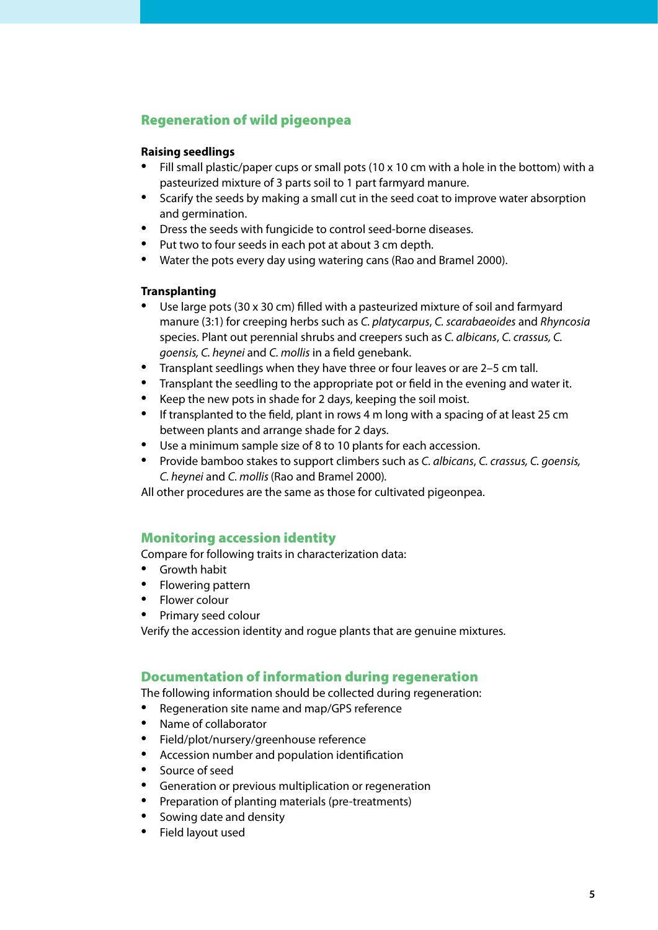# Regeneration of wild pigeonpea

#### **Raising seedlings**

- Fill small plastic/paper cups or small pots (10 x 10 cm with a hole in the bottom) with a pasteurized mixture of 3 parts soil to 1 part farmyard manure.
- Scarify the seeds by making a small cut in the seed coat to improve water absorption and germination.
- Dress the seeds with fungicide to control seed-borne diseases.
- Put two to four seeds in each pot at about 3 cm depth.
- Water the pots every day using watering cans (Rao and Bramel 2000).

#### **Transplanting**

- Use large pots (30 x 30 cm) filled with a pasteurized mixture of soil and farmyard manure (3:1) for creeping herbs such as *C. platycarpus*, *C. scarabaeoides* and *Rhyncosia*  species. Plant out perennial shrubs and creepers such as *C. albicans*, *C. crassus, C. goensis, C. heynei* and *C. mollis* in a field genebank.
- Transplant seedlings when they have three or four leaves or are 2–5 cm tall.
- Transplant the seedling to the appropriate pot or field in the evening and water it.
- Keep the new pots in shade for 2 days, keeping the soil moist. •
- If transplanted to the field, plant in rows 4 m long with a spacing of at least 25 cm between plants and arrange shade for 2 days.
- Use a minimum sample size of 8 to 10 plants for each accession.
- Provide bamboo stakes to support climbers such as *C. albicans*, *C. crassus, C. goensis, C. heynei* and *C. mollis* (Rao and Bramel 2000)*.*

All other procedures are the same as those for cultivated pigeonpea.

# Monitoring accession identity

Compare for following traits in characterization data:

- Growth habit
- Flowering pattern
- Flower colour
- Primary seed colour •

Verify the accession identity and rogue plants that are genuine mixtures.

# Documentation of information during regeneration

The following information should be collected during regeneration:

- Regeneration site name and map/GPS reference •
- Name of collaborator •
- Field/plot/nursery/greenhouse reference •
- Accession number and population identification
- Source of seed •
- Generation or previous multiplication or regeneration
- Preparation of planting materials (pre-treatments) •
- Sowing date and density
- Field layout used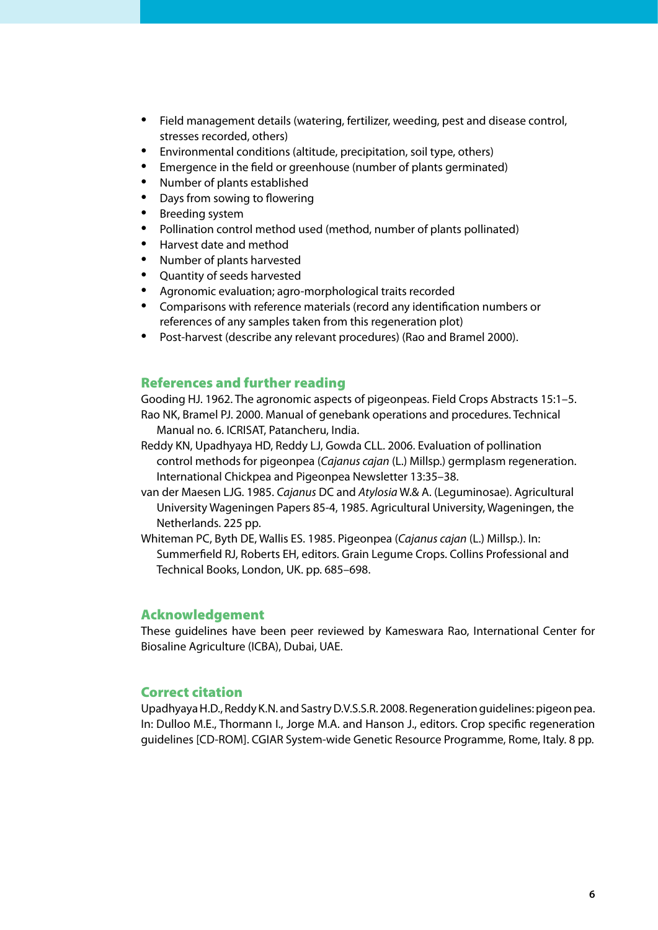- Field management details (watering, fertilizer, weeding, pest and disease control, stresses recorded, others) •
- Environmental conditions (altitude, precipitation, soil type, others)
- Emergence in the field or greenhouse (number of plants germinated) •
- Number of plants established •
- Days from sowing to flowering •
- Breeding system •
- Pollination control method used (method, number of plants pollinated) •
- Harvest date and method •
- Number of plants harvested •
- Quantity of seeds harvested •
- Agronomic evaluation; agro-morphological traits recorded •
- Comparisons with reference materials (record any identification numbers or references of any samples taken from this regeneration plot)
- Post-harvest (describe any relevant procedures) (Rao and Bramel 2000).

## References and further reading

Gooding HJ. 1962. The agronomic aspects of pigeonpeas. Field Crops Abstracts 15:1–5. Rao NK, Bramel PJ. 2000. Manual of genebank operations and procedures. Technical Manual no. 6. ICRISAT, Patancheru, India.

- Reddy KN, Upadhyaya HD, Reddy LJ, Gowda CLL. 2006. Evaluation of pollination control methods for pigeonpea (*Cajanus cajan* (L.) Millsp.) germplasm regeneration. International Chickpea and Pigeonpea Newsletter 13:35–38.
- van der Maesen LJG. 1985. *Cajanus* DC and *Atylosia* W.& A. (Leguminosae). Agricultural University Wageningen Papers 85-4, 1985. Agricultural University, Wageningen, the Netherlands. 225 pp.
- Whiteman PC, Byth DE, Wallis ES. 1985. Pigeonpea (*Cajanus cajan* (L.) Millsp.). In: Summerfield RJ, Roberts EH, editors. Grain Legume Crops. Collins Professional and Technical Books, London, UK. pp. 685–698.

#### Acknowledgement

These guidelines have been peer reviewed by Kameswara Rao, International Center for Biosaline Agriculture (ICBA), Dubai, UAE.

# Correct citation

Upadhyaya H.D., Reddy K.N. and Sastry D.V.S.S.R. 2008. Regeneration guidelines: pigeon pea. In: Dulloo M.E., Thormann I., Jorge M.A. and Hanson J., editors. Crop specific regeneration guidelines [CD-ROM]. CGIAR System-wide Genetic Resource Programme, Rome, Italy. 8 pp.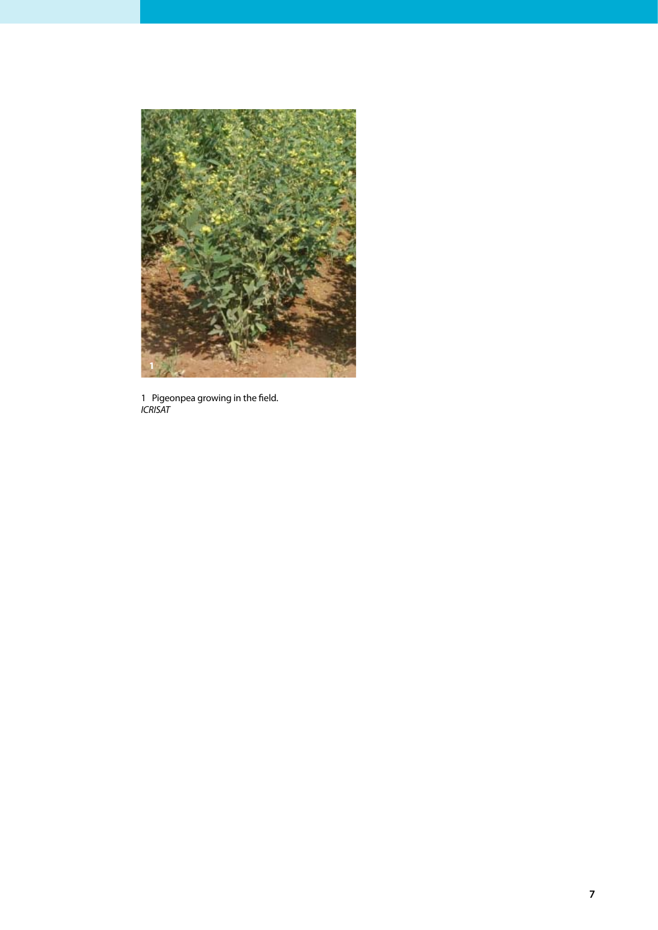

1 Pigeonpea growing in the field. *ICRISAT*